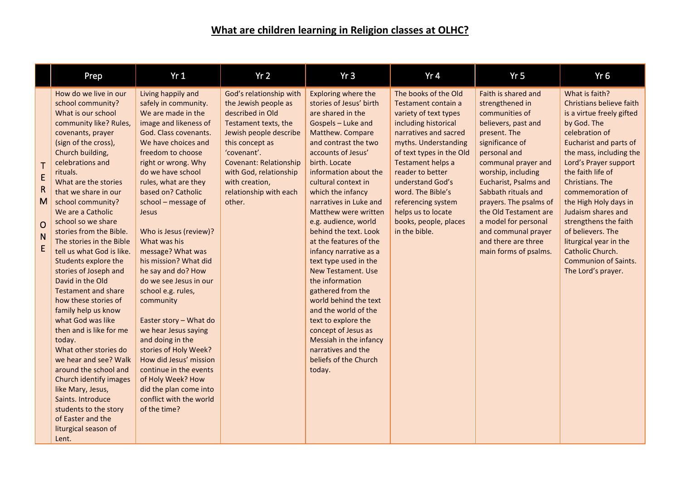## **What are children learning in Religion classes at OLHC?**

|                                                                   | Prep                                                                                                                                                                                                                                                                                                                                                                                                                                                                                                                                                                                                                                                                                                                                                                                                                                      | Yr1                                                                                                                                                                                                                                                                                                                                                                                                                                                                                                                                                                                                                                                                                                                     | Yr2                                                                                                                                                                                                                                                                      | Yr3                                                                                                                                                                                                                                                                                                                                                                                                                                                                                                                                                                                                                                                                                      | Yr4                                                                                                                                                                                                                                                                                                                                               | Yr <sub>5</sub>                                                                                                                                                                                                                                                                                                                                                                          | Yr <sub>6</sub>                                                                                                                                                                                                                                                                                                                                                                                                                                    |
|-------------------------------------------------------------------|-------------------------------------------------------------------------------------------------------------------------------------------------------------------------------------------------------------------------------------------------------------------------------------------------------------------------------------------------------------------------------------------------------------------------------------------------------------------------------------------------------------------------------------------------------------------------------------------------------------------------------------------------------------------------------------------------------------------------------------------------------------------------------------------------------------------------------------------|-------------------------------------------------------------------------------------------------------------------------------------------------------------------------------------------------------------------------------------------------------------------------------------------------------------------------------------------------------------------------------------------------------------------------------------------------------------------------------------------------------------------------------------------------------------------------------------------------------------------------------------------------------------------------------------------------------------------------|--------------------------------------------------------------------------------------------------------------------------------------------------------------------------------------------------------------------------------------------------------------------------|------------------------------------------------------------------------------------------------------------------------------------------------------------------------------------------------------------------------------------------------------------------------------------------------------------------------------------------------------------------------------------------------------------------------------------------------------------------------------------------------------------------------------------------------------------------------------------------------------------------------------------------------------------------------------------------|---------------------------------------------------------------------------------------------------------------------------------------------------------------------------------------------------------------------------------------------------------------------------------------------------------------------------------------------------|------------------------------------------------------------------------------------------------------------------------------------------------------------------------------------------------------------------------------------------------------------------------------------------------------------------------------------------------------------------------------------------|----------------------------------------------------------------------------------------------------------------------------------------------------------------------------------------------------------------------------------------------------------------------------------------------------------------------------------------------------------------------------------------------------------------------------------------------------|
| $\mathsf T$<br>E<br>$\mathsf{R}$<br>M<br>$\overline{O}$<br>N<br>E | How do we live in our<br>school community?<br>What is our school<br>community like? Rules,<br>covenants, prayer<br>(sign of the cross),<br>Church building,<br>celebrations and<br>rituals.<br>What are the stories<br>that we share in our<br>school community?<br>We are a Catholic<br>school so we share<br>stories from the Bible.<br>The stories in the Bible<br>tell us what God is like.<br>Students explore the<br>stories of Joseph and<br>David in the Old<br><b>Testament and share</b><br>how these stories of<br>family help us know<br>what God was like<br>then and is like for me<br>today.<br>What other stories do<br>we hear and see? Walk<br>around the school and<br>Church identify images<br>like Mary, Jesus,<br>Saints. Introduce<br>students to the story<br>of Easter and the<br>liturgical season of<br>Lent. | Living happily and<br>safely in community.<br>We are made in the<br>image and likeness of<br>God. Class covenants.<br>We have choices and<br>freedom to choose<br>right or wrong. Why<br>do we have school<br>rules, what are they<br>based on? Catholic<br>school - message of<br><b>Jesus</b><br>Who is Jesus (review)?<br>What was his<br>message? What was<br>his mission? What did<br>he say and do? How<br>do we see Jesus in our<br>school e.g. rules,<br>community<br>Easter story - What do<br>we hear Jesus saying<br>and doing in the<br>stories of Holy Week?<br>How did Jesus' mission<br>continue in the events<br>of Holy Week? How<br>did the plan come into<br>conflict with the world<br>of the time? | God's relationship with<br>the Jewish people as<br>described in Old<br>Testament texts, the<br>Jewish people describe<br>this concept as<br>'covenant'.<br><b>Covenant: Relationship</b><br>with God, relationship<br>with creation,<br>relationship with each<br>other. | Exploring where the<br>stories of Jesus' birth<br>are shared in the<br>Gospels - Luke and<br>Matthew. Compare<br>and contrast the two<br>accounts of Jesus'<br>birth. Locate<br>information about the<br>cultural context in<br>which the infancy<br>narratives in Luke and<br>Matthew were written<br>e.g. audience, world<br>behind the text. Look<br>at the features of the<br>infancy narrative as a<br>text type used in the<br><b>New Testament. Use</b><br>the information<br>gathered from the<br>world behind the text<br>and the world of the<br>text to explore the<br>concept of Jesus as<br>Messiah in the infancy<br>narratives and the<br>beliefs of the Church<br>today. | The books of the Old<br>Testament contain a<br>variety of text types<br>including historical<br>narratives and sacred<br>myths. Understanding<br>of text types in the Old<br>Testament helps a<br>reader to better<br>understand God's<br>word. The Bible's<br>referencing system<br>helps us to locate<br>books, people, places<br>in the bible. | Faith is shared and<br>strengthened in<br>communities of<br>believers, past and<br>present. The<br>significance of<br>personal and<br>communal prayer and<br>worship, including<br><b>Eucharist, Psalms and</b><br>Sabbath rituals and<br>prayers. The psalms of<br>the Old Testament are<br>a model for personal<br>and communal prayer<br>and there are three<br>main forms of psalms. | What is faith?<br>Christians believe faith<br>is a virtue freely gifted<br>by God. The<br>celebration of<br>Eucharist and parts of<br>the mass, including the<br>Lord's Prayer support<br>the faith life of<br>Christians. The<br>commemoration of<br>the High Holy days in<br>Judaism shares and<br>strengthens the faith<br>of believers. The<br>liturgical year in the<br>Catholic Church.<br><b>Communion of Saints.</b><br>The Lord's prayer. |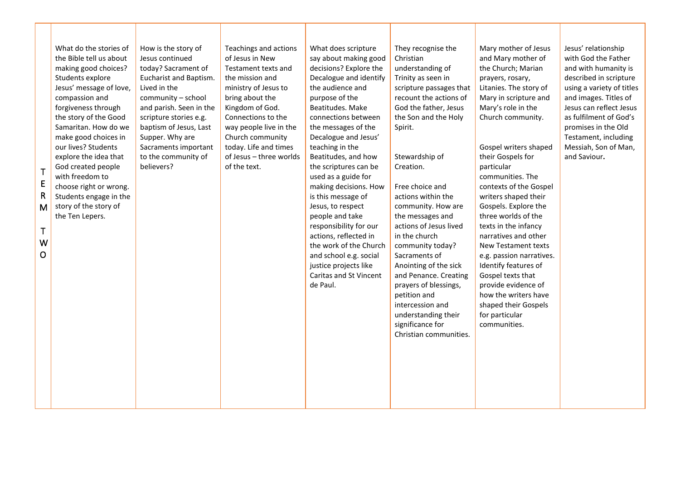| $\mathsf T$<br>$\mathsf E$<br>$\mathsf{R}$<br>M<br>Τ<br>W<br>o | What do the stories of<br>the Bible tell us about<br>making good choices?<br>Students explore<br>Jesus' message of love,<br>compassion and<br>forgiveness through<br>the story of the Good<br>Samaritan. How do we<br>make good choices in<br>our lives? Students<br>explore the idea that<br>God created people<br>with freedom to<br>choose right or wrong.<br>Students engage in the<br>story of the story of<br>the Ten Lepers. | How is the story of<br>Jesus continued<br>today? Sacrament of<br>Eucharist and Baptism.<br>Lived in the<br>community - school<br>and parish. Seen in the<br>scripture stories e.g.<br>baptism of Jesus, Last<br>Supper. Why are<br>Sacraments important<br>to the community of<br>believers? | Teachings and actions<br>of Jesus in New<br>Testament texts and<br>the mission and<br>ministry of Jesus to<br>bring about the<br>Kingdom of God.<br>Connections to the<br>way people live in the<br>Church community<br>today. Life and times<br>of Jesus - three worlds<br>of the text. | What does scripture<br>say about making good<br>decisions? Explore the<br>Decalogue and identify<br>the audience and<br>purpose of the<br>Beatitudes. Make<br>connections between<br>the messages of the<br>Decalogue and Jesus'<br>teaching in the<br>Beatitudes, and how<br>the scriptures can be<br>used as a guide for<br>making decisions. How<br>is this message of<br>Jesus, to respect<br>people and take<br>responsibility for our<br>actions, reflected in<br>the work of the Church<br>and school e.g. social<br>justice projects like<br>Caritas and St Vincent<br>de Paul. | They recognise the<br>Christian<br>understanding of<br>Trinity as seen in<br>scripture passages that<br>recount the actions of<br>God the father, Jesus<br>the Son and the Holy<br>Spirit.<br>Stewardship of<br>Creation.<br>Free choice and<br>actions within the<br>community. How are<br>the messages and<br>actions of Jesus lived<br>in the church<br>community today?<br>Sacraments of<br>Anointing of the sick<br>and Penance. Creating<br>prayers of blessings,<br>petition and<br>intercession and<br>understanding their<br>significance for<br>Christian communities. | Mary mother of Jesus<br>and Mary mother of<br>the Church; Marian<br>prayers, rosary,<br>Litanies. The story of<br>Mary in scripture and<br>Mary's role in the<br>Church community.<br>Gospel writers shaped<br>their Gospels for<br>particular<br>communities. The<br>contexts of the Gospel<br>writers shaped their<br>Gospels. Explore the<br>three worlds of the<br>texts in the infancy<br>narratives and other<br><b>New Testament texts</b><br>e.g. passion narratives.<br>Identify features of<br>Gospel texts that<br>provide evidence of<br>how the writers have<br>shaped their Gospels<br>for particular<br>communities. | Jesus' relationship<br>with God the Father<br>and with humanity is<br>described in scripture<br>using a variety of titles<br>and images. Titles of<br>Jesus can reflect Jesus<br>as fulfilment of God's<br>promises in the Old<br>Testament, including<br>Messiah, Son of Man,<br>and Saviour. |
|----------------------------------------------------------------|-------------------------------------------------------------------------------------------------------------------------------------------------------------------------------------------------------------------------------------------------------------------------------------------------------------------------------------------------------------------------------------------------------------------------------------|----------------------------------------------------------------------------------------------------------------------------------------------------------------------------------------------------------------------------------------------------------------------------------------------|------------------------------------------------------------------------------------------------------------------------------------------------------------------------------------------------------------------------------------------------------------------------------------------|-----------------------------------------------------------------------------------------------------------------------------------------------------------------------------------------------------------------------------------------------------------------------------------------------------------------------------------------------------------------------------------------------------------------------------------------------------------------------------------------------------------------------------------------------------------------------------------------|----------------------------------------------------------------------------------------------------------------------------------------------------------------------------------------------------------------------------------------------------------------------------------------------------------------------------------------------------------------------------------------------------------------------------------------------------------------------------------------------------------------------------------------------------------------------------------|-------------------------------------------------------------------------------------------------------------------------------------------------------------------------------------------------------------------------------------------------------------------------------------------------------------------------------------------------------------------------------------------------------------------------------------------------------------------------------------------------------------------------------------------------------------------------------------------------------------------------------------|------------------------------------------------------------------------------------------------------------------------------------------------------------------------------------------------------------------------------------------------------------------------------------------------|
|                                                                |                                                                                                                                                                                                                                                                                                                                                                                                                                     |                                                                                                                                                                                                                                                                                              |                                                                                                                                                                                                                                                                                          |                                                                                                                                                                                                                                                                                                                                                                                                                                                                                                                                                                                         |                                                                                                                                                                                                                                                                                                                                                                                                                                                                                                                                                                                  |                                                                                                                                                                                                                                                                                                                                                                                                                                                                                                                                                                                                                                     |                                                                                                                                                                                                                                                                                                |

T

and the state of the state

H

 $\mathbf{L}$ 

**The Company** 

a ka

and the control